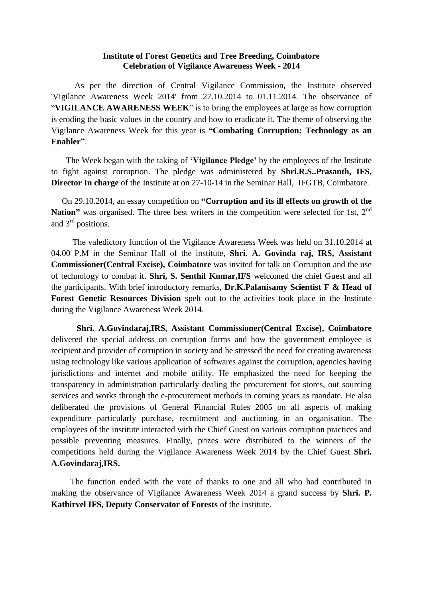## **Institute of Forest Genetics and Tree Breeding, Coimbatore Celebration of Vigilance Awareness Week - 2014**

 As per the direction of Central Vigilance Commission, the Institute observed 'Vigilance Awareness Week 2014' from 27.10.2014 to 01.11.2014. The observance of "**VIGILANCE AWARENESS WEEK**" is to bring the employees at large as how corruption is eroding the basic values in the country and how to eradicate it. The theme of observing the Vigilance Awareness Week for this year is **"Combating Corruption: Technology as an Enabler"**.

 The Week began with the taking of **"Vigilance Pledge"** by the employees of the Institute to fight against corruption. The pledge was administered by **Shri.R.S..Prasanth, IFS, Director In charge** of the Institute at on 27-10-14 in the Seminar Hall, IFGTB, Coimbatore.

 On 29.10.2014, an essay competition on **"Corruption and its ill effects on growth of the Nation**" was organised. The three best writers in the competition were selected for 1st, 2<sup>nd</sup> and  $3<sup>rd</sup>$  positions.

 The valedictory function of the Vigilance Awareness Week was held on 31.10.2014 at 04.00 P.M in the Seminar Hall of the institute, **Shri. A. Govinda raj, IRS, Assistant Commissioner(Central Excise), Coimbatore** was invited for talk on Corruption and the use of technology to combat it. **Shri, S. Senthil Kumar,IFS** welcomed the chief Guest and all the participants. With brief introductory remarks, **Dr.K.Palanisamy Scientist F & Head of Forest Genetic Resources Division** spelt out to the activities took place in the Institute during the Vigilance Awareness Week 2014.

 **Shri. A.Govindaraj,IRS, Assistant Commissioner(Central Excise), Coimbatore** delivered the special address on corruption forms and how the government employee is recipient and provider of corruption in society and he stressed the need for creating awareness using technology like various application of softwares against the corruption, agencies having jurisdictions and internet and mobile utility. He emphasized the need for keeping the transparency in administration particularly dealing the procurement for stores, out sourcing services and works through the e-procurement methods in coming years as mandate. He also deliberated the provisions of General Financial Rules 2005 on all aspects of making expenditure particularly purchase, recruitment and auctioning in an organisation. The employees of the institute interacted with the Chief Guest on various corruption practices and possible preventing measures. Finally, prizes were distributed to the winners of the competitions held during the Vigilance Awareness Week 2014 by the Chief Guest **Shri. A.Govindaraj,IRS.**

 The function ended with the vote of thanks to one and all who had contributed in making the observance of Vigilance Awareness Week 2014 a grand success by **Shri. P. Kathirvel IFS, Deputy Conservator of Forests** of the institute.